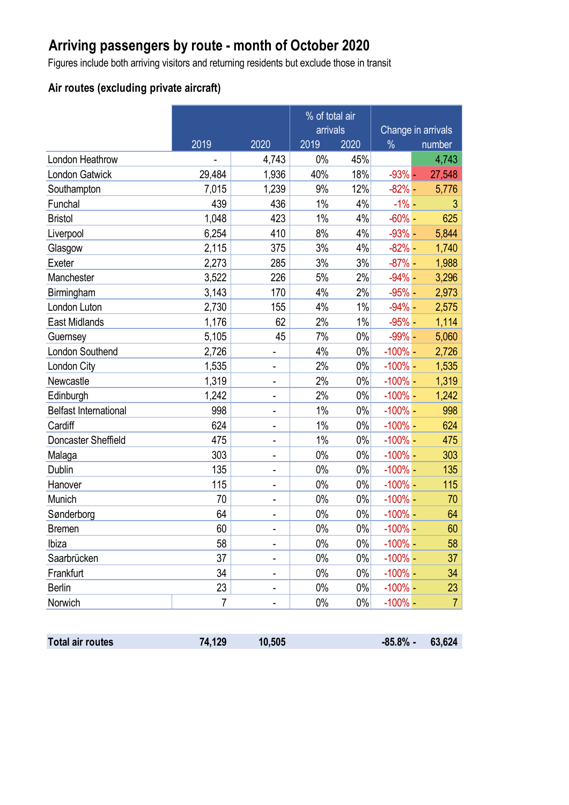# **Arriving passengers by route - month of October 2020**

Figures include both arriving visitors and returning residents but exclude those in transit

### **Air routes (excluding private aircraft)**

|                              | % of total air<br>arrivals |                              |       | Change in arrivals |            |                |
|------------------------------|----------------------------|------------------------------|-------|--------------------|------------|----------------|
|                              | 2019                       | 2020                         | 2019  | 2020               | $\%$       | number         |
| London Heathrow              |                            | 4,743                        | 0%    | 45%                |            | 4,743          |
| <b>London Gatwick</b>        | 29,484                     | 1,936                        | 40%   | 18%                | $-93%$ -   | 27,548         |
| Southampton                  | 7,015                      | 1,239                        | 9%    | 12%                | $-82%$ –   | 5,776          |
| Funchal                      | 439                        | 436                          | 1%    | 4%                 | $-1\%$ –   | 3              |
| <b>Bristol</b>               | 1,048                      | 423                          | 1%    | 4%                 | $-60\%$ -  | 625            |
| Liverpool                    | 6,254                      | 410                          | 8%    | 4%                 | $-93%$ -   | 5,844          |
| Glasgow                      | 2,115                      | 375                          | 3%    | 4%                 | $-82%$ -   | 1,740          |
| Exeter                       | 2,273                      | 285                          | 3%    | 3%                 | $-87%$ -   | 1,988          |
| Manchester                   | 3,522                      | 226                          | 5%    | 2%                 | $-94% -$   | 3,296          |
| Birmingham                   | 3,143                      | 170                          | 4%    | 2%                 | $-95%$ -   | 2,973          |
| London Luton                 | 2,730                      | 155                          | 4%    | 1%                 | $-94% -$   | 2,575          |
| East Midlands                | 1,176                      | 62                           | 2%    | 1%                 | $-95%$ -   | 1,114          |
| Guernsey                     | 5,105                      | 45                           | 7%    | $0\%$              | $-99\%$ -  | 5,060          |
| London Southend              | 2,726                      | $\qquad \qquad \blacksquare$ | 4%    | $0\%$              | $-100%$ -  | 2,726          |
| London City                  | 1,535                      | $\qquad \qquad \blacksquare$ | 2%    | $0\%$              | $-100\%$ - | 1,535          |
| Newcastle                    | 1,319                      | $\qquad \qquad \blacksquare$ | 2%    | $0\%$              | $-100\%$ - | 1,319          |
| Edinburgh                    | 1,242                      | $\overline{\phantom{a}}$     | 2%    | $0\%$              | $-100\%$ - | 1,242          |
| <b>Belfast International</b> | 998                        | -                            | $1\%$ | $0\%$              | $-100\%$ - | 998            |
| Cardiff                      | 624                        | $\qquad \qquad \blacksquare$ | 1%    | $0\%$              | $-100\%$ - | 624            |
| Doncaster Sheffield          | 475                        | $\qquad \qquad \blacksquare$ | 1%    | $0\%$              | $-100%$ -  | 475            |
| Malaga                       | 303                        | $\qquad \qquad \blacksquare$ | $0\%$ | $0\%$              | $-100%$ -  | 303            |
| Dublin                       | 135                        | $\qquad \qquad \blacksquare$ | $0\%$ | $0\%$              | $-100\%$ - | 135            |
| Hanover                      | 115                        | $\blacksquare$               | $0\%$ | $0\%$              | $-100\%$ - | 115            |
| Munich                       | 70                         | $\blacksquare$               | 0%    | $0\%$              | $-100\%$ - | 70             |
| Sønderborg                   | 64                         | -                            | $0\%$ | $0\%$              | $-100%$ -  | 64             |
| <b>Bremen</b>                | 60                         |                              | $0\%$ | $0\%$              | $-100%$ -  | 60             |
| Ibiza                        | 58                         |                              | $0\%$ | $0\%$              | $-100%$ -  | 58             |
| Saarbrücken                  | 37                         | $\qquad \qquad \blacksquare$ | $0\%$ | $0\%$              | $-100%$ -  | 37             |
| Frankfurt                    | 34                         | $\qquad \qquad \blacksquare$ | $0\%$ | $0\%$              | $-100\%$ - | 34             |
| <b>Berlin</b>                | 23                         |                              | $0\%$ | $0\%$              | $-100%$ -  | 23             |
| Norwich                      | 7                          | -                            | $0\%$ | $0\%$              | $-100\%$ - | $\overline{7}$ |

| <b>Total air routes</b> | 74,129 | 10,505 | $-85.8\% - 63,624$ |  |
|-------------------------|--------|--------|--------------------|--|
|                         |        |        |                    |  |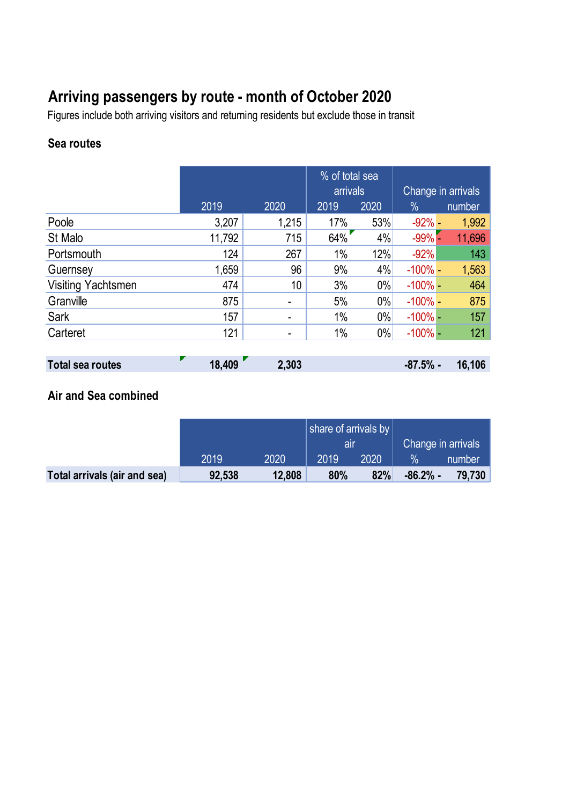# **Arriving passengers by route - month of October 2020**

Figures include both arriving visitors and returning residents but exclude those in transit

## **Sea routes**

|                    |        |       | % of total sea<br>arrivals |       | Change in arrivals |        |
|--------------------|--------|-------|----------------------------|-------|--------------------|--------|
|                    | 2019   | 2020  | 2019                       | 2020  | $\%$               | number |
| Poole              | 3,207  | 1,215 | 17%                        | 53%   | $-92% -$           | 1,992  |
| St Malo            | 11,792 | 715   | 64%                        | 4%    | $-99%$             | 11,696 |
| Portsmouth         | 124    | 267   | 1%                         | 12%   | $-92%$             | 143    |
| Guernsey           | 1,659  | 96    | 9%                         | 4%    | $-100\%$ -         | 1,563  |
| Visiting Yachtsmen | 474    | 10    | 3%                         | $0\%$ | $-100\%$ -         | 464    |
| Granville          | 875    |       | 5%                         | $0\%$ | $-100\%$ -         | 875    |
| Sark               | 157    | ۰     | 1%                         | 0%    | $-100\%$ –         | 157    |
| Carteret           | 121    | ۰     | 1%                         | $0\%$ | $-100\%$ -         | 121    |
|                    |        |       |                            |       |                    |        |

| Total sea routes | 18,409 | 2,303 | $-87.5%$ - | 16,106 |
|------------------|--------|-------|------------|--------|
|                  |        |       |            |        |

# **Air and Sea combined**

|                              |        |        | share of arrivals by |      |                    |        |
|------------------------------|--------|--------|----------------------|------|--------------------|--------|
|                              |        |        | all                  |      | Change in arrivals |        |
|                              | 2019   | 2020   | 2019                 | 2020 | $\frac{1}{2}$      | number |
| Total arrivals (air and sea) | 92,538 | 12,808 | 80%                  | 82%  | $-86.2%$ -         | 79.730 |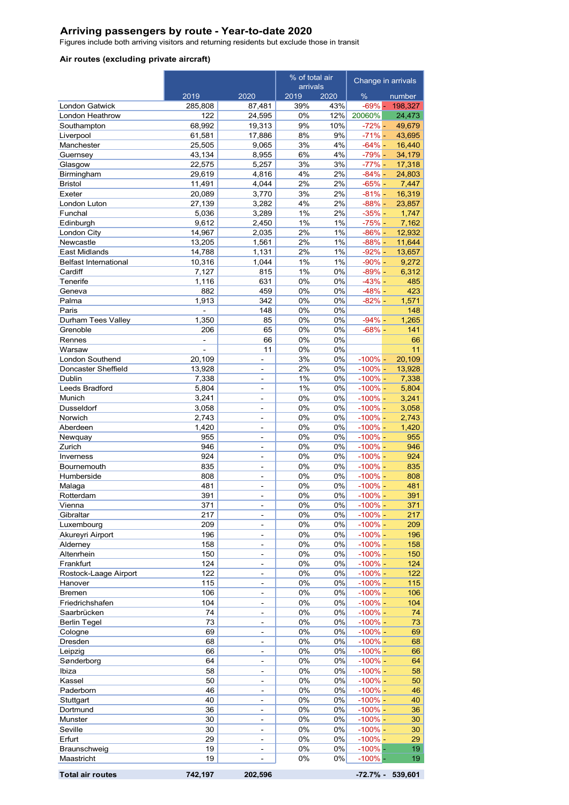#### **Arriving passengers by route - Year-to-date 2020**

Figures include both arriving visitors and returning residents but exclude those in transit

#### **Air routes (excluding private aircraft)**

|                                | % of total air        |                                | Change in arrivals |          |                          |                  |
|--------------------------------|-----------------------|--------------------------------|--------------------|----------|--------------------------|------------------|
|                                | 2019                  | 2020                           | arrivals<br>2019   | 2020     | %                        | number           |
| <b>London Gatwick</b>          | 285,808               | 87,481                         | 39%                | 43%      | $-69% -$                 | 198,327          |
| London Heathrow                | 122                   | 24,595                         | 0%                 | 12%      | 20060%                   | 24,473           |
| Southampton                    | 68,992                | 19,313                         | 9%                 | 10%      | $-72% -$                 | 49,679           |
| Liverpool                      | 61,581                | 17,886                         | 8%                 | 9%       | $-71% -$                 | 43,695           |
| Manchester                     | 25,505                | 9,065                          | 3%                 | 4%       | $-64\%$ -                | 16,440           |
| Guernsey                       | 43,134<br>22,575      | 8,955<br>5,257                 | 6%<br>3%           | 4%<br>3% | $-79% -$<br>$-77% -$     | 34,179<br>17,318 |
| Glasgow<br>Birmingham          | 29,619                | 4,816                          | 4%                 | 2%       | $-84% -$                 | 24,803           |
| Bristol                        | 11,491                | 4,044                          | 2%                 | 2%       | $-65% -$                 | 7,447            |
| Exeter                         | 20,089                | 3,770                          | 3%                 | 2%       | $-81% -$                 | 16,319           |
| London Luton                   | 27,139                | 3,282                          | 4%                 | 2%       | $-88% -$                 | 23,857           |
| Funchal                        | 5,036                 | 3,289                          | 1%                 | 2%       | $-35% -$                 | 1,747            |
| Edinburgh                      | 9,612                 | 2,450                          | 1%                 | 1%       | $-75% -$                 | 7,162            |
| London City                    | 14,967                | 2,035                          | 2%                 | 1%<br>1% | $-86% -$                 | 12,932           |
| Newcastle<br>East Midlands     | 13,205<br>14,788      | 1,561<br>1,131                 | 2%<br>2%           | 1%       | $-88% -$<br>$-92% -$     | 11,644<br>13,657 |
| <b>Belfast International</b>   | 10,316                | 1,044                          | 1%                 | 1%       | $-90\%$ -                | 9,272            |
| Cardiff                        | 7,127                 | 815                            | 1%                 | 0%       | $-89% -$                 | 6,312            |
| Tenerife                       | 1,116                 | 631                            | 0%                 | 0%       | $-43% -$                 | 485              |
| Geneva                         | 882                   | 459                            | 0%                 | 0%       | $-48% -$                 | 423              |
| Palma                          | 1,913                 | 342                            | 0%                 | 0%       | $-82% -$                 | 1,571            |
| Paris                          |                       | 148                            | 0%                 | 0%       |                          | 148              |
| Durham Tees Valley             | 1.350                 | 85                             | 0%                 | 0%       | $-94% -$                 | 1,265            |
| Grenoble                       | 206<br>$\blacksquare$ | 65                             | 0%                 | 0%       | $-68% -$                 | 141              |
| Rennes<br>Warsaw               | $\bar{\phantom{a}}$   | 66<br>11                       | 0%<br>0%           | 0%<br>0% |                          | 66<br>11         |
| London Southend                | 20,109                | ÷,                             | 3%                 | 0%       | $-100% -$                | 20,109           |
| Doncaster Sheffield            | 13,928                | $\overline{\phantom{0}}$       | 2%                 | 0%       | $-100\%$ –               | 13,928           |
| Dublin                         | 7,338                 | $\overline{a}$                 | 1%                 | 0%       | $-100\%$ -               | 7,338            |
| Leeds Bradford                 | 5,804                 | $\overline{a}$                 | 1%                 | 0%       | $-100\%$ -               | 5,804            |
| Munich                         | 3,241                 | $\overline{a}$                 | 0%                 | 0%       | $-100% -$                | 3,241            |
| Dusseldorf                     | 3,058                 | 4                              | 0%                 | 0%       | $-100\%$ -               | 3,058            |
| Norwich                        | 2,743                 | $\overline{a}$                 | 0%                 | 0%       | $-100\%$ -               | 2,743            |
| Aberdeen<br>Newquay            | 1,420<br>955          | $\overline{a}$<br>÷,           | 0%<br>0%           | 0%<br>0% | $-100\%$ -<br>$-100\%$ - | 1,420<br>955     |
| Zurich                         | 946                   | $\overline{a}$                 | 0%                 | 0%       | $-100\%$ -               | 946              |
| Inverness                      | 924                   | L,                             | 0%                 | 0%       | $-100\%$ -               | 924              |
| Bournemouth                    | 835                   | ÷,                             | 0%                 | 0%       | $-100\%$ -               | 835              |
| Humberside                     | 808                   | $\overline{a}$                 | 0%                 | 0%       | $-100\%$ -               | 808              |
| Malaga                         | 481                   | ÷                              | 0%                 | 0%       | $-100% -$                | 481              |
| Rotterdam                      | 391                   | $\overline{\phantom{0}}$       | 0%                 | 0%       | $-100\%$ -               | 391              |
| Vienna                         | 371                   | -                              | 0%                 | 0%       | $-100\%$ -               | 371              |
| Gibraltar<br>Luxembourg        | 217<br>209            | $\overline{a}$<br>÷,           | 0%<br>0%           | 0%<br>0% | $-100\%$ -<br>$-100%$ -  | 217<br>209       |
| Akureyri Airport               | 196                   | $\overline{\phantom{0}}$       | 0%                 | 0%       | $-100% -$                | 196              |
| Alderney                       | 158                   | ÷,                             | 0%                 | 0%       | $-100% -$                | 158              |
| Altenrhein                     | 150                   | $\overline{a}$                 | 0%                 | 0%       | $-100\%$ -               | 150              |
| Frankfurt                      | 124                   | $\frac{1}{2}$                  | 0%                 | 0%       | $-100%$ -                | 124              |
| Rostock-Laage Airport          | 122                   | $\frac{1}{2}$                  | 0%                 | 0%       | $-100%$ -                | 122              |
| Hanover                        | 115                   | $\qquad \qquad \blacksquare$   | 0%                 | 0%       | $-100% -$                | 115              |
| <b>Bremen</b>                  | 106                   | $\overline{\phantom{0}}$       | 0%                 | 0%       | $-100\%$ -               | 106              |
| Friedrichshafen<br>Saarbrücken | 104<br>74             | $\qquad \qquad \blacksquare$   | 0%<br>0%           | 0%<br>0% | $-100\%$ -<br>$-100\%$ - | 104<br>74        |
| <b>Berlin Tegel</b>            | 73                    | $\overline{\phantom{a}}$<br>÷, | 0%                 | 0%       | $-100%$ -                | 73               |
| Cologne                        | 69                    | $\blacksquare$                 | 0%                 | 0%       | $-100\%$ -               | 69               |
| Dresden                        | 68                    | $\blacksquare$                 | 0%                 | 0%       | $-100% -$                | 68               |
| Leipzig                        | 66                    | $\overline{a}$                 | 0%                 | 0%       | $-100\%$ -               | 66               |
| Sønderborg                     | 64                    | $\overline{\phantom{a}}$       | 0%                 | 0%       | $-100% -$                | 64               |
| Ibiza                          | 58                    | $\frac{1}{2}$                  | 0%                 | 0%       | $-100\%$ -               | 58               |
| Kassel                         | 50                    | $\overline{\phantom{a}}$       | 0%                 | 0%       | $-100%$ -                | 50               |
| Paderborn                      | 46                    | $\blacksquare$                 | 0%                 | 0%       | $-100\%$ -               | 46               |
| Stuttgart                      | 40<br>36              | -                              | 0%<br>0%           | 0%<br>0% | $-100% -$<br>$-100% -$   | 40               |
| Dortmund<br>Munster            | 30                    | ÷<br>$\overline{a}$            | $0\%$              | 0%       | $-100\%$ -               | 36<br>30         |
| Seville                        | 30                    | $\overline{\phantom{0}}$       | 0%                 | 0%       | $-100\%$ -               | 30               |
| Erfurt                         | 29                    | ÷,                             | 0%                 | 0%       | $-100\%$ -               | 29               |
| Braunschweig                   | 19                    | -                              | 0%                 | 0%       | $-100%$ -                | 19               |
| Maastricht                     | 19                    | 4                              | 0%                 | 0%       | $-100%$ -                | 19               |